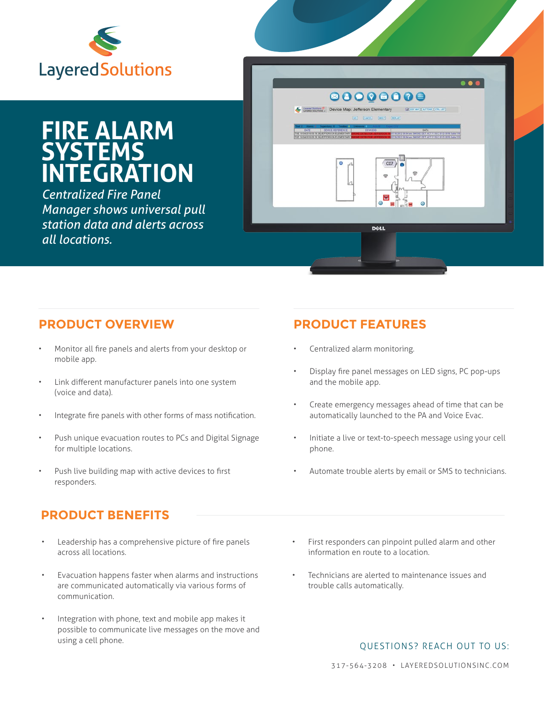

# **FIRE ALARM SYSTEMS INTEGRATION**

*Centralized Fire Panel Manager shows universal pull station data and alerts across all locations.*



### **PRODUCT OVERVIEW**

- Monitor all fire panels and alerts from your desktop or mobile app.
- Link different manufacturer panels into one system (voice and data).
- Integrate fire panels with other forms of mass notification.
- Push unique evacuation routes to PCs and Digital Signage for multiple locations.
- Push live building map with active devices to first responders.

### **PRODUCT BENEFITS**

- Leadership has a comprehensive picture of fire panels across all locations.
- Evacuation happens faster when alarms and instructions are communicated automatically via various forms of communication.
- Integration with phone, text and mobile app makes it possible to communicate live messages on the move and using a cell phone.

### **PRODUCT FEATURES**

- Centralized alarm monitoring.
- Display fire panel messages on LED signs, PC pop-ups and the mobile app.
- Create emergency messages ahead of time that can be automatically launched to the PA and Voice Evac.
- Initiate a live or text-to-speech message using your cell phone.
- Automate trouble alerts by email or SMS to technicians.
- First responders can pinpoint pulled alarm and other information en route to a location.
- Technicians are alerted to maintenance issues and trouble calls automatically.